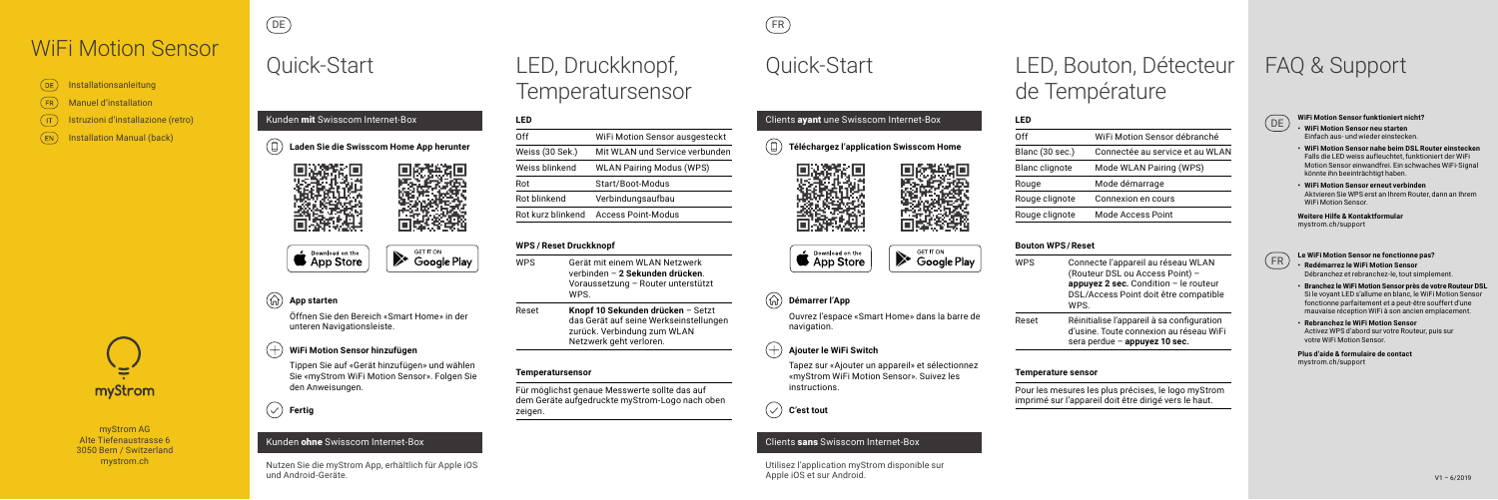myStrom AG Alte Tiefenaustrasse 6 3050 Bern / Switzerland mystrom.ch

myStrom

- DE **WiFi Motion Sensor funktioniert nicht? • WiFi Motion Sensor neu starten** Einfach aus- und wieder einstecken.
	- **• WiFi Motion Sensor nahe beim DSL Router einstecken** Falls die LED weiss aufleuchtet, funktioniert der WiFi Motion Sensor einwandfrei. Ein schwaches WiFi-Signal könnte ihn beeinträchtigt haben.
	- **• WiFi Motion Sensor erneut verbinden** Aktvieren Sie WPS erst an Ihrem Router, dann an Ihrem WiFi Motion Sensor.

**Weitere Hilfe & Kontaktformular**  mystrom.ch/support



### $(+)$ **WiFi Motion Sensor hinzufügen**

- FR **Le WiFi Motion Sensor ne fonctionne pas? • Redémarrez le WiFi Motion Sensor** Débranchez et rebranchez-le, tout simplement.
	- **• Branchez le WiFi Motion Sensor près de votre Routeur DSL** Si le voyant LED s'allume en blanc, le WiFi Motion Sensor fonctionne parfaitement et a peut-être souffert d'une mauvaise réception WiFi à son ancien emplacement.
	- **• Rebranchez le WiFi Motion Sensor** Activez WPS d'abord sur votre Routeur, puis sur votre WiFi Motion Sensor.

### $^{(+)}$ **Ajouter le WiFi Switch**

**Plus d'aide & formulaire de contact**  mystrom.ch/support

## **App starten**

Öffnen Sie den Bereich «Smart Home» in der unteren Navigationsleiste.





**S** Download on the



Tippen Sie auf «Gerät hinzufügen» und wählen Sie «myStrom WiFi Motion Sensor». Folgen Sie den Anweisungen.

## $(\checkmark)$  Fertig

## Kunden ohne Swisscom Internet-Box

Nutzen Sie die myStrom App, erhältlich für Apple iOS und Android-Geräte.

**Téléchargez l'application Swisscom Home** 

## **Démarrer l'App**

Ouvrez l'espace «Smart Home» dans la barre de navigation.

Tapez sur «Ajouter un appareil» et sélectionnez «myStrom WiFi Motion Sensor». Suivez les instructions.

**C'est tout**

## Clients sans Swisscom Internet-Box

Utilisez l'application myStrom disponible sur Apple iOS et sur Android.



Clients ayant une Swisscom Internet-Box

# Quick-Start LED, Druckknopf, Quick-Start Temperatursensor

# LED, Bouton, Détecteur de Température

# FAQ & Support



DE FR

| I FD              |                                 |
|-------------------|---------------------------------|
| Off               | WiFi Motion Sensor ausgesteckt  |
| Weiss (30 Sek.)   | Mit WLAN und Service verbunden  |
| Weiss blinkend    | <b>WLAN Pairing Modus (WPS)</b> |
| Rot               | Start/Boot-Modus                |
| Rot blinkend      | Verbindungsaufbau               |
| Rot kurz blinkend | Access Point-Modus              |
|                   |                                 |

## **WPS / Reset Druckknopf**

- WPS Gerät mit einem WLAN Netzwerk verbinden – **2 Sekunden drücken**. Voraussetzung – Router unterstützt WPS.
- Reset **Knopf 10 Sekunden drücken** Setzt das Gerät auf seine Werkseinstellungen zurück. Verbindung zum WLAN Netzwerk geht verloren.

## **Temperatursensor**

Für möglichst genaue Messwerte sollte das auf dem Geräte aufgedruckte myStrom-Logo nach oben zeigen.



# **LED**

Blanc (30 s

Blanc clign Rouge

Rouge clign

Rouge clign

| Off                   | WiFi Motion Sensor débranché    |
|-----------------------|---------------------------------|
| Blanc (30 sec.)       | Connectée au service et au WLAN |
| <b>Blanc clignote</b> | Mode WLAN Pairing (WPS)         |
| Rouge                 | Mode démarrage                  |
| Rouge clignote        | Connexion en cours              |
| Rouge clignote        | Mode Access Point               |
|                       |                                 |

# **Bouton WPS / Reset**

# App Store

Download on the

WPS Connecte l'appareil au réseau WLAN (Routeur DSL ou Access Point) – **appuyez 2 sec.** Condition – le routeur DSL/Access Point doit être compatible WPS.

Reset Réinitialise l'appareil à sa configuration d'usine. Toute connexion au réseau WiFi sera perdue – **appuyez 10 sec.**

### **Temperature sensor**

Pour les mesures les plus précises, le logo myStrom imprimé sur l'appareil doit être dirigé vers le haut.

| (DE) Installationsanleitung   |
|-------------------------------|
| (FR) Manuel d'installation    |
| (IT) Istruzioni d'installazio |
|                               |

 $(EN)$ **Installation Manual (back)** 

# WiFi Motion Sensor

Ie (retro)